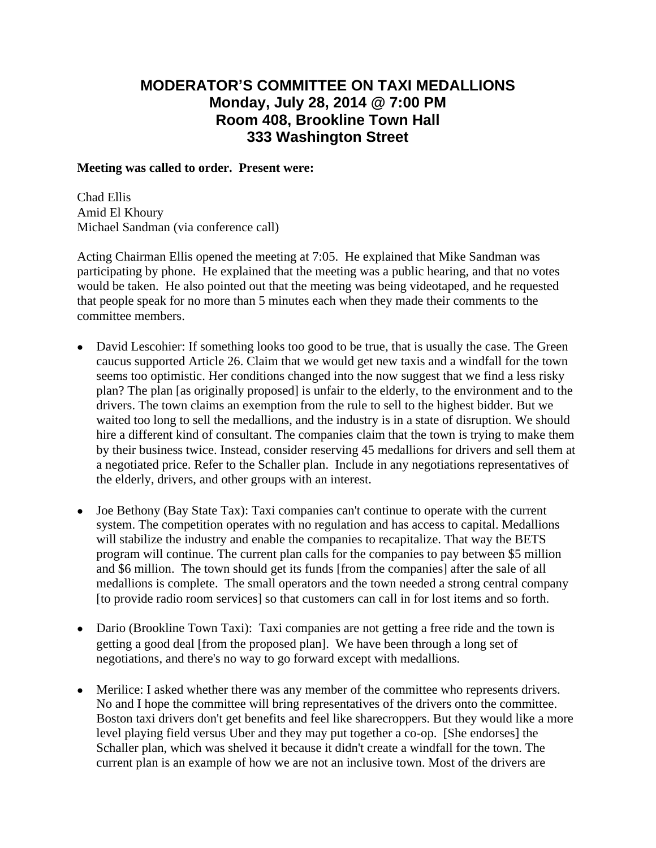## **MODERATOR'S COMMITTEE ON TAXI MEDALLIONS Monday, July 28, 2014 @ 7:00 PM Room 408, Brookline Town Hall 333 Washington Street**

## **Meeting was called to order. Present were:**

Chad Ellis Amid El Khoury Michael Sandman (via conference call)

Acting Chairman Ellis opened the meeting at 7:05. He explained that Mike Sandman was participating by phone. He explained that the meeting was a public hearing, and that no votes would be taken. He also pointed out that the meeting was being videotaped, and he requested that people speak for no more than 5 minutes each when they made their comments to the committee members.

- David Lescohier: If something looks too good to be true, that is usually the case. The Green caucus supported Article 26. Claim that we would get new taxis and a windfall for the town seems too optimistic. Her conditions changed into the now suggest that we find a less risky plan? The plan [as originally proposed] is unfair to the elderly, to the environment and to the drivers. The town claims an exemption from the rule to sell to the highest bidder. But we waited too long to sell the medallions, and the industry is in a state of disruption. We should hire a different kind of consultant. The companies claim that the town is trying to make them by their business twice. Instead, consider reserving 45 medallions for drivers and sell them at a negotiated price. Refer to the Schaller plan. Include in any negotiations representatives of the elderly, drivers, and other groups with an interest.
- Joe Bethony (Bay State Tax): Taxi companies can't continue to operate with the current system. The competition operates with no regulation and has access to capital. Medallions will stabilize the industry and enable the companies to recapitalize. That way the BETS program will continue. The current plan calls for the companies to pay between \$5 million and \$6 million. The town should get its funds [from the companies] after the sale of all medallions is complete. The small operators and the town needed a strong central company [to provide radio room services] so that customers can call in for lost items and so forth.
- Dario (Brookline Town Taxi): Taxi companies are not getting a free ride and the town is getting a good deal [from the proposed plan]. We have been through a long set of negotiations, and there's no way to go forward except with medallions.
- Merilice: I asked whether there was any member of the committee who represents drivers. No and I hope the committee will bring representatives of the drivers onto the committee. Boston taxi drivers don't get benefits and feel like sharecroppers. But they would like a more level playing field versus Uber and they may put together a co-op. [She endorses] the Schaller plan, which was shelved it because it didn't create a windfall for the town. The current plan is an example of how we are not an inclusive town. Most of the drivers are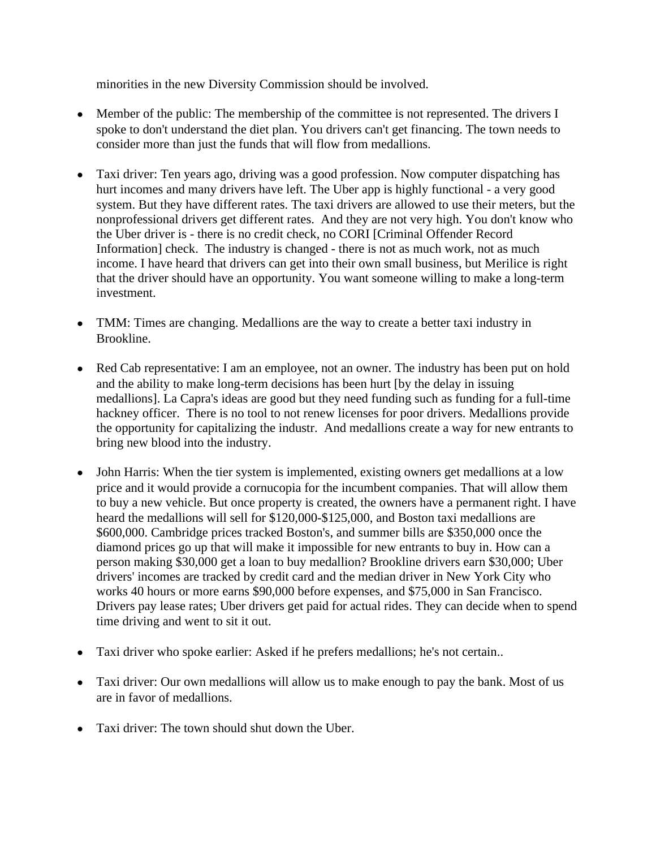minorities in the new Diversity Commission should be involved.

- Member of the public: The membership of the committee is not represented. The drivers I spoke to don't understand the diet plan. You drivers can't get financing. The town needs to consider more than just the funds that will flow from medallions.
- Taxi driver: Ten years ago, driving was a good profession. Now computer dispatching has hurt incomes and many drivers have left. The Uber app is highly functional - a very good system. But they have different rates. The taxi drivers are allowed to use their meters, but the nonprofessional drivers get different rates. And they are not very high. You don't know who the Uber driver is - there is no credit check, no CORI [Criminal Offender Record Information] check. The industry is changed - there is not as much work, not as much income. I have heard that drivers can get into their own small business, but Merilice is right that the driver should have an opportunity. You want someone willing to make a long-term investment.
- TMM: Times are changing. Medallions are the way to create a better taxi industry in Brookline.
- Red Cab representative: I am an employee, not an owner. The industry has been put on hold and the ability to make long-term decisions has been hurt [by the delay in issuing medallions]. La Capra's ideas are good but they need funding such as funding for a full-time hackney officer. There is no tool to not renew licenses for poor drivers. Medallions provide the opportunity for capitalizing the industr. And medallions create a way for new entrants to bring new blood into the industry.
- John Harris: When the tier system is implemented, existing owners get medallions at a low price and it would provide a cornucopia for the incumbent companies. That will allow them to buy a new vehicle. But once property is created, the owners have a permanent right. I have heard the medallions will sell for \$120,000-\$125,000, and Boston taxi medallions are \$600,000. Cambridge prices tracked Boston's, and summer bills are \$350,000 once the diamond prices go up that will make it impossible for new entrants to buy in. How can a person making \$30,000 get a loan to buy medallion? Brookline drivers earn \$30,000; Uber drivers' incomes are tracked by credit card and the median driver in New York City who works 40 hours or more earns \$90,000 before expenses, and \$75,000 in San Francisco. Drivers pay lease rates; Uber drivers get paid for actual rides. They can decide when to spend time driving and went to sit it out.
- Taxi driver who spoke earlier: Asked if he prefers medallions; he's not certain..
- Taxi driver: Our own medallions will allow us to make enough to pay the bank. Most of us are in favor of medallions.
- Taxi driver: The town should shut down the Uber.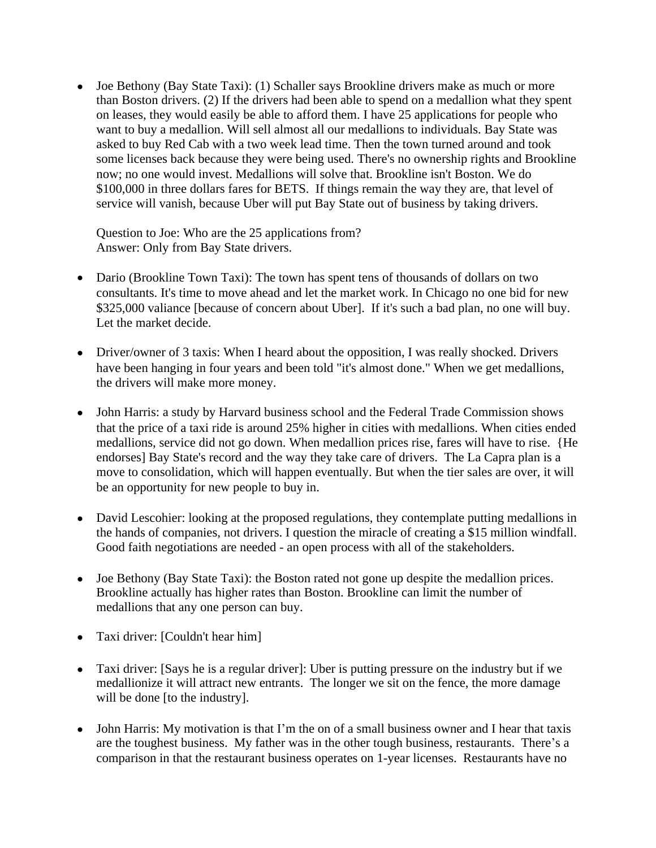• Joe Bethony (Bay State Taxi): (1) Schaller says Brookline drivers make as much or more than Boston drivers. (2) If the drivers had been able to spend on a medallion what they spent on leases, they would easily be able to afford them. I have 25 applications for people who want to buy a medallion. Will sell almost all our medallions to individuals. Bay State was asked to buy Red Cab with a two week lead time. Then the town turned around and took some licenses back because they were being used. There's no ownership rights and Brookline now; no one would invest. Medallions will solve that. Brookline isn't Boston. We do \$100,000 in three dollars fares for BETS. If things remain the way they are, that level of service will vanish, because Uber will put Bay State out of business by taking drivers.

Question to Joe: Who are the 25 applications from? Answer: Only from Bay State drivers.

- Dario (Brookline Town Taxi): The town has spent tens of thousands of dollars on two consultants. It's time to move ahead and let the market work. In Chicago no one bid for new \$325,000 valiance [because of concern about Uber]. If it's such a bad plan, no one will buy. Let the market decide.
- Driver/owner of 3 taxis: When I heard about the opposition, I was really shocked. Drivers have been hanging in four years and been told "it's almost done." When we get medallions, the drivers will make more money.
- John Harris: a study by Harvard business school and the Federal Trade Commission shows that the price of a taxi ride is around 25% higher in cities with medallions. When cities ended medallions, service did not go down. When medallion prices rise, fares will have to rise. {He endorses] Bay State's record and the way they take care of drivers. The La Capra plan is a move to consolidation, which will happen eventually. But when the tier sales are over, it will be an opportunity for new people to buy in.
- David Lescohier: looking at the proposed regulations, they contemplate putting medallions in the hands of companies, not drivers. I question the miracle of creating a \$15 million windfall. Good faith negotiations are needed - an open process with all of the stakeholders.
- Joe Bethony (Bay State Taxi): the Boston rated not gone up despite the medallion prices. Brookline actually has higher rates than Boston. Brookline can limit the number of medallions that any one person can buy.
- Taxi driver: [Couldn't hear him]
- Taxi driver: [Says he is a regular driver]: Uber is putting pressure on the industry but if we medallionize it will attract new entrants. The longer we sit on the fence, the more damage will be done [to the industry].
- John Harris: My motivation is that I'm the on of a small business owner and I hear that taxis are the toughest business. My father was in the other tough business, restaurants. There's a comparison in that the restaurant business operates on 1-year licenses. Restaurants have no